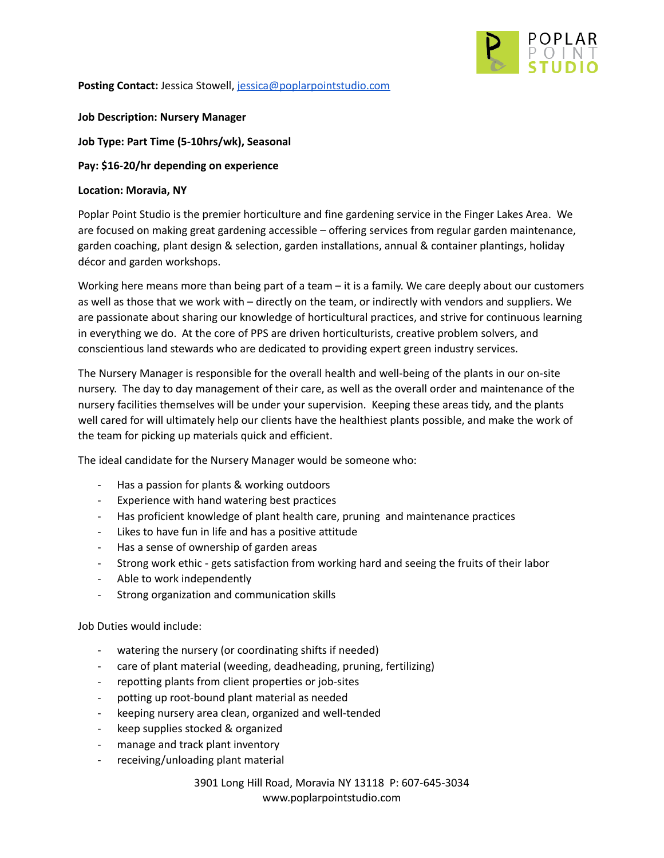

**Posting Contact:** Jessica Stowell, [jessica@poplarpointstudio.com](mailto:jessica@poplarpointstudio.com)

**Job Description: Nursery Manager**

**Job Type: Part Time (5-10hrs/wk), Seasonal**

**Pay: \$16-20/hr depending on experience**

#### **Location: Moravia, NY**

Poplar Point Studio is the premier horticulture and fine gardening service in the Finger Lakes Area. We are focused on making great gardening accessible – offering services from regular garden maintenance, garden coaching, plant design & selection, garden installations, annual & container plantings, holiday décor and garden workshops.

Working here means more than being part of a team – it is a family. We care deeply about our customers as well as those that we work with – directly on the team, or indirectly with vendors and suppliers. We are passionate about sharing our knowledge of horticultural practices, and strive for continuous learning in everything we do. At the core of PPS are driven horticulturists, creative problem solvers, and conscientious land stewards who are dedicated to providing expert green industry services.

The Nursery Manager is responsible for the overall health and well-being of the plants in our on-site nursery. The day to day management of their care, as well as the overall order and maintenance of the nursery facilities themselves will be under your supervision. Keeping these areas tidy, and the plants well cared for will ultimately help our clients have the healthiest plants possible, and make the work of the team for picking up materials quick and efficient.

The ideal candidate for the Nursery Manager would be someone who:

- Has a passion for plants & working outdoors
- Experience with hand watering best practices
- Has proficient knowledge of plant health care, pruning and maintenance practices
- Likes to have fun in life and has a positive attitude
- Has a sense of ownership of garden areas
- Strong work ethic gets satisfaction from working hard and seeing the fruits of their labor
- Able to work independently
- Strong organization and communication skills

#### Job Duties would include:

- watering the nursery (or coordinating shifts if needed)
- care of plant material (weeding, deadheading, pruning, fertilizing)
- repotting plants from client properties or job-sites
- potting up root-bound plant material as needed
- keeping nursery area clean, organized and well-tended
- keep supplies stocked & organized
- manage and track plant inventory
- receiving/unloading plant material

3901 Long Hill Road, Moravia NY 13118 P: 607-645-3034 www.poplarpointstudio.com